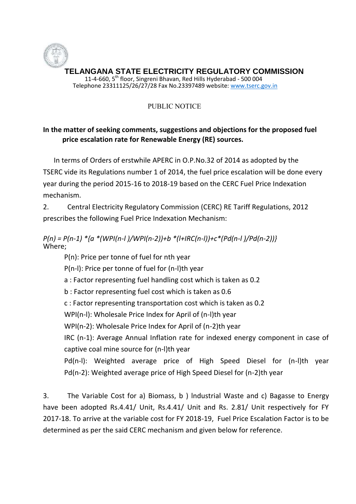

## PUBLIC NOTICE

## **In the matter of seeking comments, suggestions and objections for the proposed fuel price escalation rate for Renewable Energy (RE) sources.**

In terms of Orders of erstwhile APERC in O.P.No.32 of 2014 as adopted by the TSERC vide its Regulations number 1 of 2014, the fuel price escalation will be done every year during the period 2015-16 to 2018-19 based on the CERC Fuel Price Indexation mechanism.

2. Central Electricity Regulatory Commission (CERC) RE Tariff Regulations, 2012 prescribes the following Fuel Price Indexation Mechanism:

*P(n) = P(n-1) \*{a \*(WPI(n-l )/WPI(n-2))+b \*(l+IRC(n-l))+c\*(Pd(n-l )/Pd(n-2))}* Where;

P(n): Price per tonne of fuel for nth year

P(n-l): Price per tonne of fuel for (n-l)th year

a : Factor representing fuel handling cost which is taken as 0.2

b : Factor representing fuel cost which is taken as 0.6

c : Factor representing transportation cost which is taken as 0.2

WPI(n-l): Wholesale Price Index for April of (n-l)th year

WPI(n-2): Wholesale Price Index for April of (n-2)th year

IRC (n-1): Average Annual Inflation rate for indexed energy component in case of captive coal mine source for (n-l)th year

Pd(n-l): Weighted average price of High Speed Diesel for (n-l)th year Pd(n-2): Weighted average price of High Speed Diesel for (n-2)th year

3. The Variable Cost for a) Biomass, b ) lndustrial Waste and c) Bagasse to Energy have been adopted Rs.4.41/ Unit, Rs.4.41/ Unit and Rs. 2.81/ Unit respectively for FY 2017-18. To arrive at the variable cost for FY 2018-19, Fuel Price Escalation Factor is to be determined as per the said CERC mechanism and given below for reference.